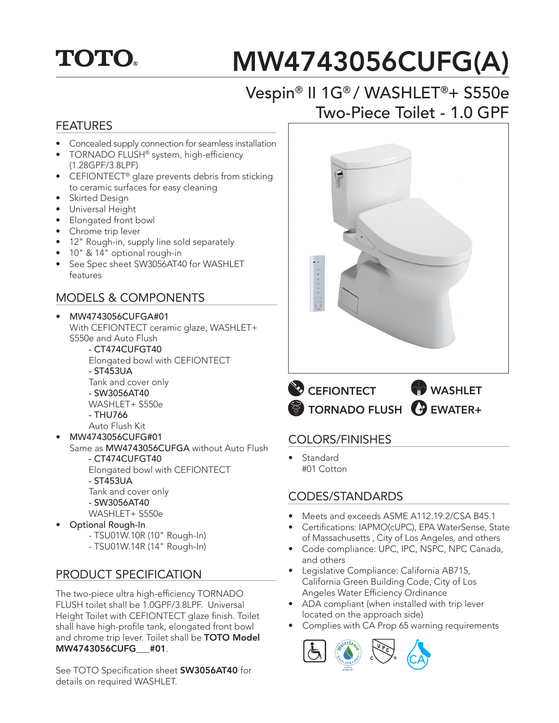## **TOTO.**

# MW4743056CUFG(A)

## Vespin® II 1G® / WASHLET®+ S550e Two-Piece Toilet - 1.0 GPF

#### FEATURES

- Concealed supply connection for seamless installation
- TORNADO FLUSH® system, high-efficiency (1.28GPF/3.8LPF)
- CEFIONTECT<sup>®</sup> glaze prevents debris from sticking to ceramic surfaces for easy cleaning
- Skirted Design
- Universal Height
- Elongated front bowl
- Chrome trip lever
- 12" Rough-in, supply line sold separately
- 10" & 14" optional rough-in
- See Spec sheet SW3056AT40 for WASHLET features

#### MODELS & COMPONENTS

- MW4743056CUFGA#01 With CEFIONTECT ceramic glaze, WASHLET+ S550e and Auto Flush - CT474CUFGT40
	- Elongated bowl with CEFIONTECT - ST453UA Tank and cover only - SW3056AT40 WASHLET+ S550e - THU766
	- Auto Flush Kit
	- MW4743056CUFG#01
- Same as MW4743056CUFGA without Auto Flush - CT474CUFGT40 Elongated bowl with CEFIONTECT - ST453UA Tank and cover only - SW3056AT40
	- WASHLET+ S550e
	-
- Optional Rough-In - TSU01W.10R (10" Rough-In)
	- TSU01W.14R (14" Rough-In)

#### PRODUCT SPECIFICATION

The two-piece ultra high-efficiency TORNADO FLUSH toilet shall be 1.0GPF/3.8LPF. Universal Height Toilet with CEFIONTECT glaze finish. Toilet shall have high-profile tank, elongated front bowl and chrome trip lever. Toilet shall be TOTO Model MW4743056CUFG\_\_\_#01.

See TOTO Specification sheet SW3056AT40 for details on required WASHLET.



TORNADO FLUSH GUEWATER+

#### COLORS/FINISHES

**Standard** #01 Cotton

#### CODES/STANDARDS

- Meets and exceeds ASME A112.19.2/CSA B45.1
- Certifications: IAPMO(cUPC), EPA WaterSense, State of Massachusetts , City of Los Angeles, and others
- Code compliance: UPC, IPC, NSPC, NPC Canada, and others
- Legislative Compliance: California AB715, California Green Building Code, City of Los Angeles Water Efficiency Ordinance
- ADA compliant (when installed with trip lever located on the approach side)
- Complies with CA Prop 65 warning requirements